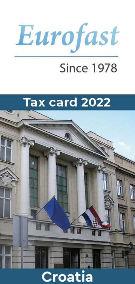

# **Since 1978**



# Croatia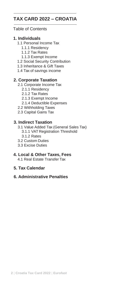#### **TAX CARD 2022 – CROATIA**

#### Table of Contents

#### **1. Individuals**

- 1.1 Personal Income Tax
	- 1.1.1 Residency
	- 1.1.2 Tax Rates
	- 1.1.3 Exempt Income
- 1.2 Social Security Contribution
- 1.3 Inheritance & Gift Taxes
- 1.4 Tax of savings income

#### **2. Corporate Taxation**

- 2.1 Corporate Income Tax
	- 2.1.1 Residency
	- 2.1.2 Tax Rates
	- 2.1.3 Exempt Income
	- 2.1.4 Deductible Expenses
- 2.2 Withholding Taxes
- 2.3 Capital Gains Tax

#### **3. Indirect Taxation**

- 3.1 Value Added Tax (General Sales Tax) 3.1.1 VAT Registration Threshold
	- 3.1.2 Rates
- 3.2 Custom Duties
- 3.3 Excise Duties

#### **4. Local & Other Taxes, Fees**

4.1 Real Estate Transfer Tax

#### **5. Tax Calendar**

#### **6. Administrative Penalties**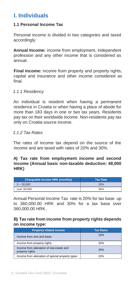## **I. Individuals**

#### **1.1 Personal Income Tax**

Personal income is divided in two categories and taxed accordingly:

**Annual Income:** income from employment, independent profession and any other income that is considered as annual.

**Final income:** income from property and property rights, capital and insurance and other income considered as final.

#### *1.1.1 Residency*

An individual is resident when having a permanent residence in Croatia or when having a place of abode for more than 183 days in one or two tax years. Residents pay tax on their worldwide income. Non-residents pay tax only on Croatia source income.

#### *1.1.2 Tax Rates*

The rates of income tax depend on the source of the income and are taxed with rates of 20% and 30%.

#### **A) Tax rate from employment income and second income (Annual basic non-taxable deduction: 48,000 HRK)**

| Chargeable Income HRK (monthly) | <b>Tax Rate</b> |
|---------------------------------|-----------------|
| $0 - 30,000$                    | 20%             |
| over 30,000                     | 30%             |

Annual Personal Income Tax rate is 20% for tax base up to 360,000.00 HRK and 30% for a tax base over 360,000.00 HRK.

#### **B) Tax rate from income from property rights depends on income type:**

| <b>Property related income</b>                               | <b>Tax Rates</b> |
|--------------------------------------------------------------|------------------|
| Income from rent and lease                                   | 10%              |
| Income from property rights                                  | 20%              |
| Income from alienation of real estate and<br>property rights | 20%              |
| Income from alienation of special property types             | 10%              |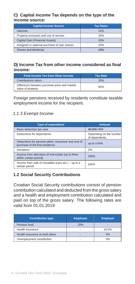#### **C) Capital Income Tax depends on the type of the income source:**

| <b>Capital Income Source</b>                | <b>Tax Rates</b> |
|---------------------------------------------|------------------|
| Interests                                   | 10%              |
| Property exclusion and use of service       | 30%              |
| Capital Gain (Financial Assets)             | 10%              |
| Assigned or optional purchase of own shares | 20%              |
| Shares and dividends                        | 10%              |

#### **D) Income Tax from other income considered as final income:**

| <b>Final Income Tax from Other Income</b>                         | <b>Tax Rate</b> |
|-------------------------------------------------------------------|-----------------|
| Contributions return                                              | 30%             |
| Difference between purchase price and market<br>value of property | 60%             |

Foreign pensions received by residents constitute taxable employment income for the recipient.

#### *1.1.3 Exempt Income*

| <b>Type of expenditure</b>                                                             | <b>Amount</b>                            |
|----------------------------------------------------------------------------------------|------------------------------------------|
| Basic deduction per year                                                               | 48,000 HRK                               |
| Deductions for dependents                                                              | Depending on the number<br>of dependents |
| Deductions for pension plans, insurance and cost of<br>purchase of the first residence | up to a limit                            |
| Donations<br>2%                                                                        |                                          |
| Income from alienation of real estate (up to three<br>100%<br>within certain period)   |                                          |
| Income from sale of movables (cars etc.) - up to a<br>certain period                   | 100%                                     |

#### **1.2 Social Security Contributions**

Croatian Social Security contributions consist of pension contribution calculated and deducted from the gross salary and a health and employment contribution calculated and paid on top of the gross salary. The following rates are valid from 01.01.2019

| <b>Contribution type</b>       | <b>Employee</b> | <b>Employer</b> |
|--------------------------------|-----------------|-----------------|
| Pension fund                   | 20%             |                 |
| Health insurance               |                 | 16.5%           |
| Health insurance at work place |                 | 0%              |
| Unemployment contribution      |                 | 0%              |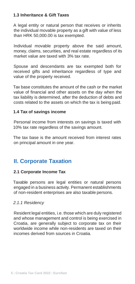#### **1.3 Inheritance & Gift Taxes**

A legal entity or natural person that receives or inherits the individual movable property as a gift with value of less than HRK 50,000.00 is tax exempted.

Individual movable property above the said amount, money, claims, securities, and real estate regardless of its market value are taxed with 3% tax rate.

Spouse and descendants are tax exempted both for received gifts and inheritance regardless of type and value of the property received.

Tax base constitutes the amount of the cash or the market value of financial and other assets on the day when the tax liability is determined, after the deduction of debts and costs related to the assets on which the tax is being paid.

#### **1.4 Tax of savings income**

Personal income from interests on savings is taxed with 10% tax rate regardless of the savings amount.

The tax base is the amount received from interest rates on principal amount in one year.

# **II. Corporate Taxation**

#### **2.1 Corporate Income Tax**

Taxable persons are legal entities or natural persons engaged in a business activity. Permanent establishments of non-resident enterprises are also taxable persons.

#### *2.1.1 Residency*

Resident legal entities, i.e. those which are duly registered and whose management and control is being exercised in Croatia, are generally subject to corporate tax on their worldwide income while non-residents are taxed on their incomes derived from sources in Croatia.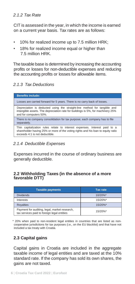#### *2.1.2 Tax Rate*

CIT is assessed in the year, in which the income is earned on a current year basis. Tax rates are as follows:

- 10% for realized income up to 7.5 million HRK;
- 18% for realized income equal or higher than 7.5 million HRK.

The taxable base is determined by increasing the accounting profits or losses for non-deductible expenses and reducing the accounting profits or losses for allowable items.

#### *2.1.3 Tax Deductions*

| <b>Benefits include:</b>                                                                                                                                                                        |
|-------------------------------------------------------------------------------------------------------------------------------------------------------------------------------------------------|
| Losses are carried forward for 5 years. There is no carry back of losses.                                                                                                                       |
| Depreciation is deducted using the straight-line method for tangible and<br>intangible assets. The depreciation rate for buildings is 5%, for machinery 25%<br>and for computers 50%.           |
| There is no company consolidation for tax purpose; each company has to file<br>separately.                                                                                                      |
| Thin capitalization rules relate to interest expenses. Interest paid to a<br>shareholder having 25% or more of the voting rights and his loan to equity ratio<br>exceeds 4:1 is not deductible. |

*2.1.4 Deductible Expenses*

Expenses incurred in the course of ordinary business are generally deductible.

#### **2.2 Withholding Taxes (in the absence of a more favorable DTT)**

| <b>Taxable payments</b>                                                                      | <b>Tax rate</b> |
|----------------------------------------------------------------------------------------------|-----------------|
| <b>Dividends</b>                                                                             | $10/20\%$ *     |
| Interests                                                                                    | 15/20%*         |
| <b>Royalties</b>                                                                             | 15/20%*         |
| Payment for auditing, legal, market research,<br>tax services paid to foreign legal entities | 15/20%*         |

\* 20% when paid to non-resident legal entities in countries that are listed as noncooperative jurisdictions for tax purposes (i.e., on the EU blacklist) and that have not included a tax treaty with Croatia.

### **2.3 Capital gains**

Capital gains in Croatia are included in the aggregate taxable income of legal entities and are taxed at the 10% standard rate. If the company has sold its own shares, the gains are not taxed.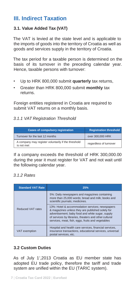### **III. Indirect Taxation**

#### **3.1. Value Added Tax (VAT)**

The VAT is levied at the state level and is applicable to the imports of goods into the territory of Croatia as well as goods and services supply in the territory of Croatia.

The tax period for a taxable person is determined on the basis of its turnover in the preceding calendar year. Hence, taxable persons with turnover:

- Up to HRK 800,000 submit **quarterly** tax returns,
- Greater than HRK 800,000 submit **monthly** tax returns.

Foreign entities registered in Croatia are required to submit VAT returns on a monthly basis.

#### *3.1.1 VAT Registration Threshold*

| <b>Cases of compulsory registration</b>                           | <b>Registration threshold</b> |
|-------------------------------------------------------------------|-------------------------------|
| Turnover for the last 12 months                                   | over 300,000 HRK              |
| A company may register voluntarily if the threshold<br>is not met | regardless of turnover        |

If a company exceeds the threshold of HRK 300,000.00 during the year it must register for VAT and not wait until the following calendar year.

#### *3.1.2 Rates*

| <b>Standard VAT Rate</b> | 25%                                                                                                                                                                                                                                                                   |
|--------------------------|-----------------------------------------------------------------------------------------------------------------------------------------------------------------------------------------------------------------------------------------------------------------------|
| Reduced VAT rates        | 5%: Daily newspapers and magazines containing<br>more than 25,000 words; bread and milk; books and<br>scientific journals; medicines.                                                                                                                                 |
|                          | 13%: Hotel & accommodation services; newspapers<br>& magazines unless they are published solely for<br>advertisement; baby food and white sugar, supply<br>of services by libraries, theaters and other cultural<br>services, meat, fish, eggs, fruits and vegetables |
| VAT exemption            | Hospital and health care services, financial services,<br>insurance transactions, educational services, universal<br>postal services, etc.                                                                                                                            |

#### **3.2 Custom Duties**

As of July 1",2013 Croatia as EU member state has adopted EU trade policy, therefore the tariff and trade system are unified within the EU (TARIC system).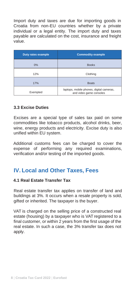Import duty and taxes are due for importing goods in Croatia from non-EU countries whether by a private individual or a legal entity. The import duty and taxes payable are calculated on the cost, insurance and freight value.

| <b>Duty rates example</b> | <b>Commodity example</b>                                            |
|---------------------------|---------------------------------------------------------------------|
| 0%                        | <b>Books</b>                                                        |
| 12%                       | Clothing                                                            |
| 17%                       | <b>Boats</b>                                                        |
| Exempted                  | laptops, mobile phones, digital cameras,<br>and video game consoles |

#### **3.3 Excise Duties**

Excises are a special type of sales tax paid on some commodities like tobacco products, alcohol drinks, beer, wine, energy products and electricity. Excise duty is also unified within EU system.

Additional customs fees can be charged to cover the expense of performing any required examinations, verification and/or testing of the imported goods.

## **IV. Local and Other Taxes, Fees**

#### **4.1 Real Estate Transfer Tax**

Real estate transfer tax applies on transfer of land and buildings at 3%. It occurs when a resale property is sold, gifted or inherited. The taxpayer is the buyer.

VAT is charged on the selling price of a constructed real estate (housing) by a taxpayer who is VAT registered to a final customer, or within 2 years from the first usage of the real estate. In such a case, the 3% transfer tax does not apply.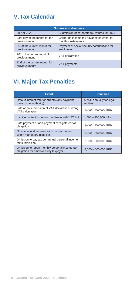# **V.Tax Calendar**

| <b>Submission deadlines</b>                                 |                                                                 |
|-------------------------------------------------------------|-----------------------------------------------------------------|
| 30 Apr 2022                                                 | Submission of corporate tax returns for 2021                    |
| Last day of the month for the<br>previous month             | Corporate income tax advance payment for<br>monthly instalments |
| 15 <sup>th</sup> of the current month for<br>previous month | Payment of social security contributions for<br>employees       |
| 20 <sup>th</sup> of the current month for<br>previous month | VAT declaration                                                 |
| End of the current month for<br>previous month              | VAT payments                                                    |

# **VI. Major Tax Penalties**

| <b>Event</b>                                                                           | <b>Penalties</b>                     |
|----------------------------------------------------------------------------------------|--------------------------------------|
| Default interest rate for arrears (any payment<br>towards tax authority)               | 5.75% annually for legal<br>entities |
| Late or no submission of VAT declaration, wrong<br>VAT calculation                     | 2,000 - 500,000 HRK                  |
| Invoice content is not in compliance with VAT Act                                      | $1.000 - 200.000$ HRK                |
| Late payment or non-payment of registered VAT<br>obligation                            | $1.000 - 500.000$ HRK                |
| Omission to store invoices in proper manner<br>within mandatory deadline               | $2,000 - 500,000$ HRK                |
| Omission to pay tax per annual personal income<br>tax submission                       | $2.000 - 500.000$ HRK                |
| Omission to report monthly personal income tax<br>obligation for employees by taxpayer | $2,000 - 500,000$ HRK                |